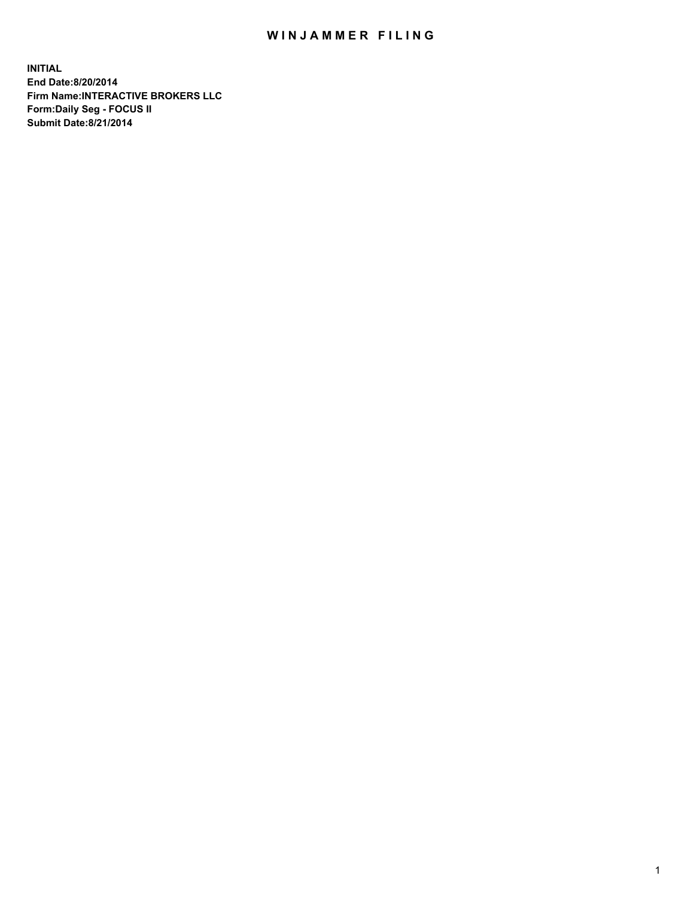## WIN JAMMER FILING

**INITIAL End Date:8/20/2014 Firm Name:INTERACTIVE BROKERS LLC Form:Daily Seg - FOCUS II Submit Date:8/21/2014**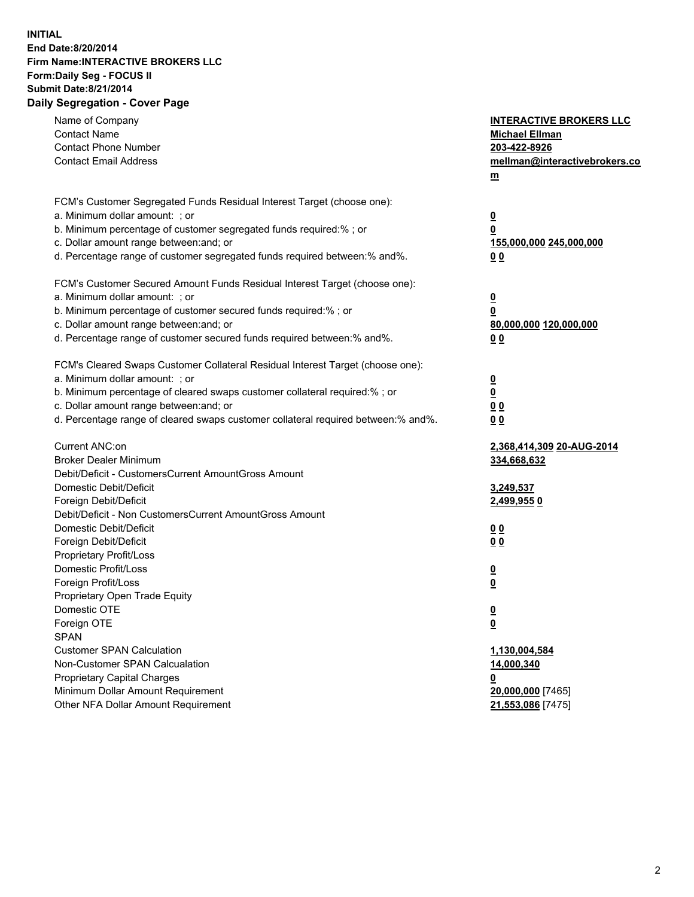## **INITIAL End Date:8/20/2014 Firm Name:INTERACTIVE BROKERS LLC Form:Daily Seg - FOCUS II Submit Date:8/21/2014 Daily Segregation - Cover Page**

| Name of Company<br><b>Contact Name</b><br><b>Contact Phone Number</b><br><b>Contact Email Address</b>    | <b>INTERACTIVE BROKERS LLC</b><br><b>Michael Ellman</b><br>203-422-8926<br>mellman@interactivebrokers.co<br>$m$ |
|----------------------------------------------------------------------------------------------------------|-----------------------------------------------------------------------------------------------------------------|
| FCM's Customer Segregated Funds Residual Interest Target (choose one):<br>a. Minimum dollar amount: ; or | $\overline{\mathbf{0}}$                                                                                         |
| b. Minimum percentage of customer segregated funds required:% ; or                                       | 0                                                                                                               |
| c. Dollar amount range between: and; or                                                                  | 155,000,000 245,000,000                                                                                         |
| d. Percentage range of customer segregated funds required between:% and%.                                | 0 <sub>0</sub>                                                                                                  |
| FCM's Customer Secured Amount Funds Residual Interest Target (choose one):                               |                                                                                                                 |
| a. Minimum dollar amount: ; or                                                                           | $\overline{\mathbf{0}}$                                                                                         |
| b. Minimum percentage of customer secured funds required:% ; or                                          | 0                                                                                                               |
| c. Dollar amount range between: and; or                                                                  | 80,000,000 120,000,000                                                                                          |
| d. Percentage range of customer secured funds required between:% and%.                                   | 0 <sub>0</sub>                                                                                                  |
| FCM's Cleared Swaps Customer Collateral Residual Interest Target (choose one):                           |                                                                                                                 |
| a. Minimum dollar amount: ; or                                                                           | $\overline{\mathbf{0}}$                                                                                         |
| b. Minimum percentage of cleared swaps customer collateral required:% ; or                               | $\overline{\mathbf{0}}$                                                                                         |
| c. Dollar amount range between: and; or                                                                  | 0 <sub>0</sub>                                                                                                  |
| d. Percentage range of cleared swaps customer collateral required between:% and%.                        | 0 <sub>0</sub>                                                                                                  |
| Current ANC:on                                                                                           | 2,368,414,309 20-AUG-2014                                                                                       |
| <b>Broker Dealer Minimum</b>                                                                             | 334,668,632                                                                                                     |
| Debit/Deficit - CustomersCurrent AmountGross Amount                                                      |                                                                                                                 |
| Domestic Debit/Deficit<br>Foreign Debit/Deficit                                                          | 3,249,537                                                                                                       |
| Debit/Deficit - Non CustomersCurrent AmountGross Amount                                                  | 2,499,9550                                                                                                      |
| Domestic Debit/Deficit                                                                                   | 0 <sub>0</sub>                                                                                                  |
| Foreign Debit/Deficit                                                                                    | 0 <sub>0</sub>                                                                                                  |
| Proprietary Profit/Loss                                                                                  |                                                                                                                 |
| Domestic Profit/Loss                                                                                     | $\overline{\mathbf{0}}$                                                                                         |
| Foreign Profit/Loss                                                                                      | $\underline{\mathbf{0}}$                                                                                        |
| Proprietary Open Trade Equity                                                                            |                                                                                                                 |
| Domestic OTE                                                                                             | <u>0</u>                                                                                                        |
| Foreign OTE                                                                                              | <u>0</u>                                                                                                        |
| <b>SPAN</b>                                                                                              |                                                                                                                 |
| <b>Customer SPAN Calculation</b>                                                                         | 1,130,004,584                                                                                                   |
| Non-Customer SPAN Calcualation                                                                           | 14,000,340                                                                                                      |
| Proprietary Capital Charges                                                                              | <u>0</u>                                                                                                        |
| Minimum Dollar Amount Requirement                                                                        | 20,000,000 [7465]                                                                                               |
| Other NFA Dollar Amount Requirement                                                                      | 21,553,086 [7475]                                                                                               |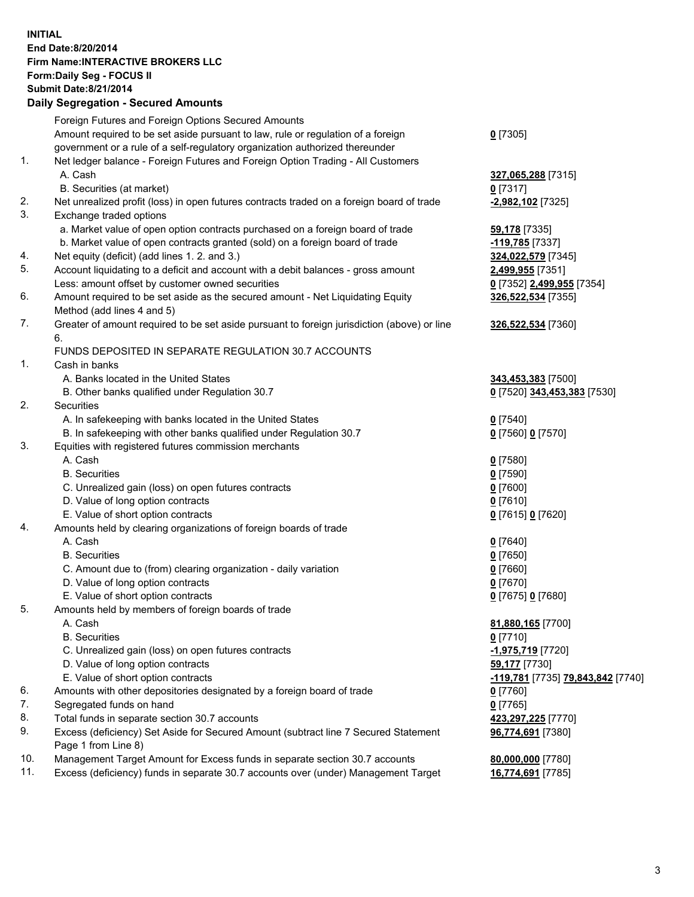## **INITIAL End Date:8/20/2014 Firm Name:INTERACTIVE BROKERS LLC Form:Daily Seg - FOCUS II Submit Date:8/21/2014 Daily Segregation - Secured Amounts**

|     | Daily Ocglegation - Occarea Anioants                                                                       |                                   |
|-----|------------------------------------------------------------------------------------------------------------|-----------------------------------|
|     | Foreign Futures and Foreign Options Secured Amounts                                                        |                                   |
|     | Amount required to be set aside pursuant to law, rule or regulation of a foreign                           | $0$ [7305]                        |
|     | government or a rule of a self-regulatory organization authorized thereunder                               |                                   |
| 1.  | Net ledger balance - Foreign Futures and Foreign Option Trading - All Customers                            |                                   |
|     | A. Cash                                                                                                    | 327,065,288 [7315]                |
|     | B. Securities (at market)                                                                                  | $0$ [7317]                        |
| 2.  | Net unrealized profit (loss) in open futures contracts traded on a foreign board of trade                  | -2,982,102 [7325]                 |
| 3.  | Exchange traded options                                                                                    |                                   |
|     | a. Market value of open option contracts purchased on a foreign board of trade                             | <b>59,178</b> [7335]              |
|     | b. Market value of open contracts granted (sold) on a foreign board of trade                               | $-119,785$ [7337]                 |
| 4.  | Net equity (deficit) (add lines 1.2. and 3.)                                                               | 324,022,579 [7345]                |
| 5.  | Account liquidating to a deficit and account with a debit balances - gross amount                          | 2,499,955 [7351]                  |
|     | Less: amount offset by customer owned securities                                                           | 0 [7352] 2,499,955 [7354]         |
| 6.  | Amount required to be set aside as the secured amount - Net Liquidating Equity                             | 326,522,534 [7355]                |
|     | Method (add lines 4 and 5)                                                                                 |                                   |
| 7.  | Greater of amount required to be set aside pursuant to foreign jurisdiction (above) or line                | 326,522,534 [7360]                |
|     | 6.                                                                                                         |                                   |
|     | FUNDS DEPOSITED IN SEPARATE REGULATION 30.7 ACCOUNTS                                                       |                                   |
| 1.  | Cash in banks                                                                                              |                                   |
|     | A. Banks located in the United States                                                                      | 343,453,383 [7500]                |
|     | B. Other banks qualified under Regulation 30.7                                                             | 0 [7520] 343,453,383 [7530]       |
| 2.  | Securities                                                                                                 |                                   |
|     | A. In safekeeping with banks located in the United States                                                  | $0$ [7540]                        |
|     | B. In safekeeping with other banks qualified under Regulation 30.7                                         | 0 [7560] 0 [7570]                 |
| 3.  | Equities with registered futures commission merchants                                                      |                                   |
|     | A. Cash                                                                                                    | $0$ [7580]                        |
|     | <b>B.</b> Securities                                                                                       | $0$ [7590]                        |
|     | C. Unrealized gain (loss) on open futures contracts                                                        | $0$ [7600]                        |
|     | D. Value of long option contracts                                                                          | $0$ [7610]                        |
|     | E. Value of short option contracts                                                                         | 0 [7615] 0 [7620]                 |
| 4.  | Amounts held by clearing organizations of foreign boards of trade                                          |                                   |
|     | A. Cash                                                                                                    | $0$ [7640]                        |
|     | <b>B.</b> Securities                                                                                       | $0$ [7650]                        |
|     | C. Amount due to (from) clearing organization - daily variation                                            | $0$ [7660]                        |
|     | D. Value of long option contracts                                                                          | $0$ [7670]                        |
|     | E. Value of short option contracts                                                                         | 0 [7675] 0 [7680]                 |
| 5.  | Amounts held by members of foreign boards of trade                                                         |                                   |
|     | A. Cash                                                                                                    | 81,880,165 [7700]                 |
|     | <b>B.</b> Securities                                                                                       | $0$ [7710]                        |
|     | C. Unrealized gain (loss) on open futures contracts                                                        | $-1,975,719$ [7720]               |
|     | D. Value of long option contracts                                                                          | 59,177 [7730]                     |
|     | E. Value of short option contracts                                                                         | -119,781 [7735] 79,843,842 [7740] |
| 6.  | Amounts with other depositories designated by a foreign board of trade                                     | 0 [7760]                          |
| 7.  | Segregated funds on hand                                                                                   | $0$ [7765]                        |
| 8.  | Total funds in separate section 30.7 accounts                                                              | 423,297,225 [7770]                |
| 9.  | Excess (deficiency) Set Aside for Secured Amount (subtract line 7 Secured Statement<br>Page 1 from Line 8) | 96,774,691 [7380]                 |
| 10. | Management Target Amount for Excess funds in separate section 30.7 accounts                                | 80,000,000 [7780]                 |
| 11. | Excess (deficiency) funds in separate 30.7 accounts over (under) Management Target                         | 16,774,691 [7785]                 |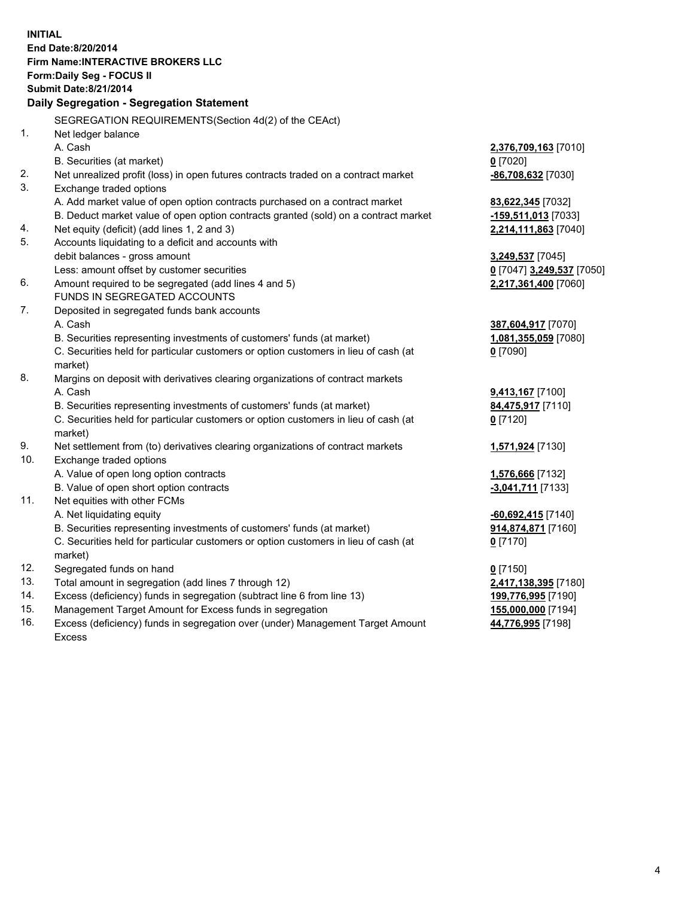**INITIAL End Date:8/20/2014 Firm Name:INTERACTIVE BROKERS LLC Form:Daily Seg - FOCUS II Submit Date:8/21/2014 Daily Segregation - Segregation Statement** SEGREGATION REQUIREMENTS(Section 4d(2) of the CEAct) 1. Net ledger balance A. Cash **2,376,709,163** [7010] B. Securities (at market) **0** [7020] 2. Net unrealized profit (loss) in open futures contracts traded on a contract market **-86,708,632** [7030] 3. Exchange traded options A. Add market value of open option contracts purchased on a contract market **83,622,345** [7032] B. Deduct market value of open option contracts granted (sold) on a contract market **-159,511,013** [7033] 4. Net equity (deficit) (add lines 1, 2 and 3) **2,214,111,863** [7040] 5. Accounts liquidating to a deficit and accounts with debit balances - gross amount **3,249,537** [7045] Less: amount offset by customer securities **0** [7047] **3,249,537** [7050] 6. Amount required to be segregated (add lines 4 and 5) **2,217,361,400** [7060] FUNDS IN SEGREGATED ACCOUNTS 7. Deposited in segregated funds bank accounts A. Cash **387,604,917** [7070] B. Securities representing investments of customers' funds (at market) **1,081,355,059** [7080] C. Securities held for particular customers or option customers in lieu of cash (at market) **0** [7090] 8. Margins on deposit with derivatives clearing organizations of contract markets A. Cash **9,413,167** [7100] B. Securities representing investments of customers' funds (at market) **84,475,917** [7110] C. Securities held for particular customers or option customers in lieu of cash (at market) **0** [7120] 9. Net settlement from (to) derivatives clearing organizations of contract markets **1,571,924** [7130] 10. Exchange traded options A. Value of open long option contracts **1,576,666** [7132] B. Value of open short option contracts **-3,041,711** [7133] 11. Net equities with other FCMs A. Net liquidating equity **-60,692,415** [7140] B. Securities representing investments of customers' funds (at market) **914,874,871** [7160] C. Securities held for particular customers or option customers in lieu of cash (at market) **0** [7170] 12. Segregated funds on hand **0** [7150] 13. Total amount in segregation (add lines 7 through 12) **2,417,138,395** [7180] 14. Excess (deficiency) funds in segregation (subtract line 6 from line 13) **199,776,995** [7190] 15. Management Target Amount for Excess funds in segregation **155,000,000** [7194]

16. Excess (deficiency) funds in segregation over (under) Management Target Amount Excess

**44,776,995** [7198]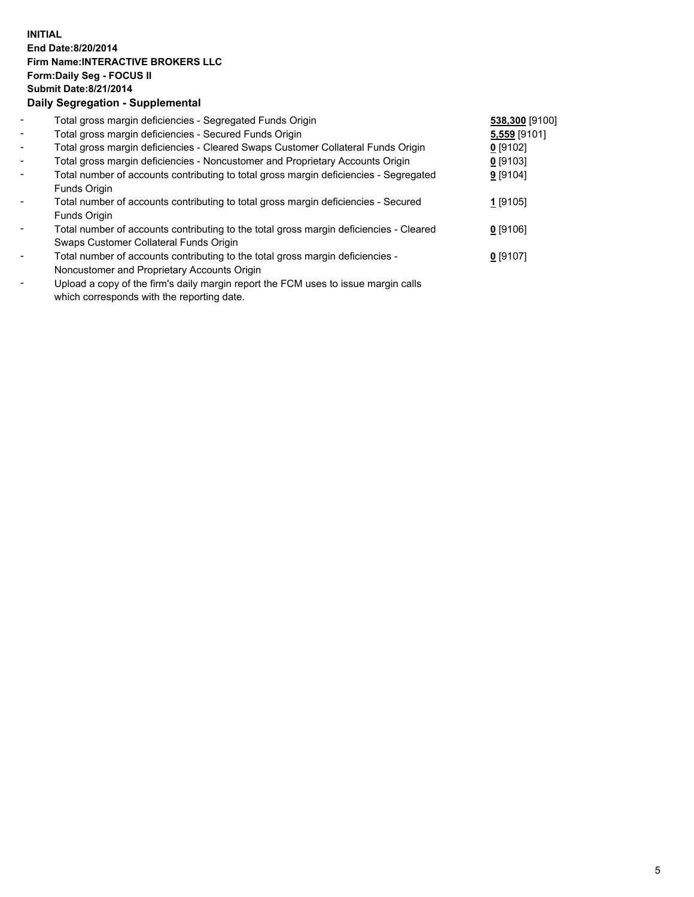## **INITIAL End Date:8/20/2014 Firm Name:INTERACTIVE BROKERS LLC Form:Daily Seg - FOCUS II Submit Date:8/21/2014 Daily Segregation - Supplemental**

| $\overline{\phantom{a}}$ | Total gross margin deficiencies - Segregated Funds Origin                              | 538,300 [9100] |  |
|--------------------------|----------------------------------------------------------------------------------------|----------------|--|
| $\sim$                   | Total gross margin deficiencies - Secured Funds Origin                                 | 5,559 [9101]   |  |
| $\blacksquare$           | Total gross margin deficiencies - Cleared Swaps Customer Collateral Funds Origin       | $0$ [9102]     |  |
| $\blacksquare$           | Total gross margin deficiencies - Noncustomer and Proprietary Accounts Origin          | $0$ [9103]     |  |
| $\blacksquare$           | Total number of accounts contributing to total gross margin deficiencies - Segregated  | 9 [9104]       |  |
|                          | Funds Origin                                                                           |                |  |
|                          | Total number of accounts contributing to total gross margin deficiencies - Secured     | 1 [9105]       |  |
|                          | Funds Origin                                                                           |                |  |
|                          | Total number of accounts contributing to the total gross margin deficiencies - Cleared | $0$ [9106]     |  |
|                          | Swaps Customer Collateral Funds Origin                                                 |                |  |
|                          | Total number of accounts contributing to the total gross margin deficiencies -         | $0$ [9107]     |  |
|                          | Noncustomer and Proprietary Accounts Origin                                            |                |  |
|                          |                                                                                        |                |  |

- Upload a copy of the firm's daily margin report the FCM uses to issue margin calls which corresponds with the reporting date.